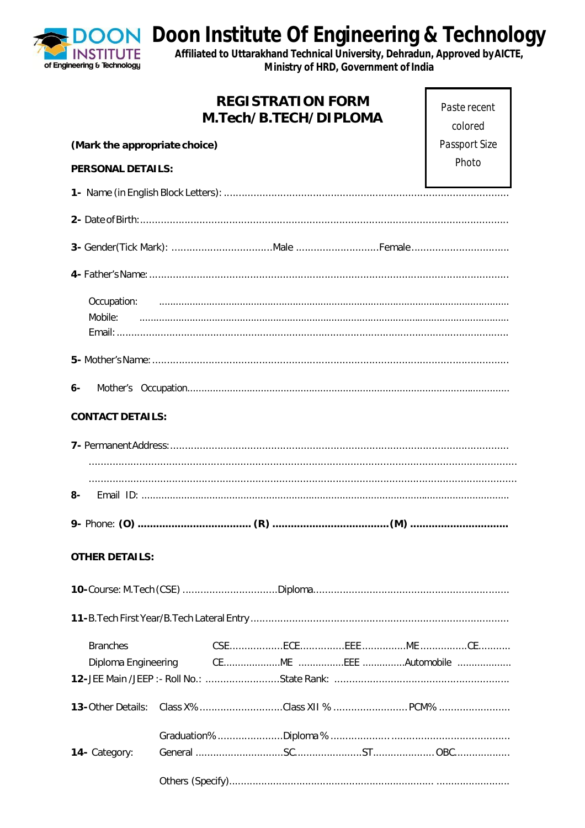J **INSTITUTE** of Engineering & Technology

**Doon Institute Of Engineering & Technology**<br>Affiliated to Uttarakhand Technical University, Dehradun, Approved by AICTE,

Ministry of HRD, Government of India

|                                        | <b>REGISTRATION FORM</b><br>M.Tech/B.TECH/DIPLOMA | Paste recent<br>colored |  |  |
|----------------------------------------|---------------------------------------------------|-------------------------|--|--|
| (Mark the appropriate choice)          | Passport Size                                     |                         |  |  |
| <b>PERSONAL DETAILS:</b>               |                                                   | Photo                   |  |  |
|                                        |                                                   |                         |  |  |
|                                        |                                                   |                         |  |  |
|                                        |                                                   |                         |  |  |
|                                        |                                                   |                         |  |  |
| Mobile:                                |                                                   |                         |  |  |
|                                        |                                                   |                         |  |  |
|                                        |                                                   |                         |  |  |
| $6-$                                   |                                                   |                         |  |  |
| <b>CONTACT DETAILS:</b>                |                                                   |                         |  |  |
|                                        |                                                   |                         |  |  |
|                                        |                                                   |                         |  |  |
| 8-                                     |                                                   |                         |  |  |
|                                        |                                                   |                         |  |  |
| <b>OTHER DETAILS:</b>                  |                                                   |                         |  |  |
|                                        |                                                   |                         |  |  |
|                                        |                                                   |                         |  |  |
| <b>Branches</b><br>Diploma Engineering |                                                   |                         |  |  |
| <b>13-Other Details:</b>               |                                                   |                         |  |  |
| 14- Category:                          |                                                   |                         |  |  |
|                                        |                                                   |                         |  |  |